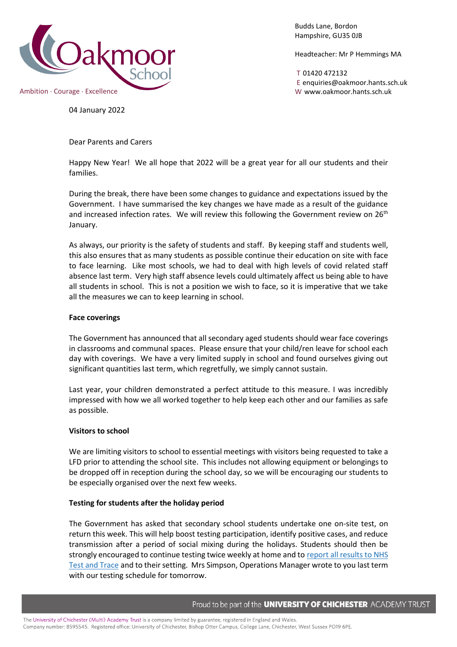

Budds Lane, Bordon Hampshire, GU35 0JB

Headteacher: Mr P Hemmings MA

T 01420 472132 E enquiries@oakmoor.hants.sch.uk

04 January 2022

Dear Parents and Carers

Happy New Year! We all hope that 2022 will be a great year for all our students and their families.

During the break, there have been some changes to guidance and expectations issued by the Government. I have summarised the key changes we have made as a result of the guidance and increased infection rates. We will review this following the Government review on  $26<sup>th</sup>$ January.

As always, our priority is the safety of students and staff. By keeping staff and students well, this also ensures that as many students as possible continue their education on site with face to face learning. Like most schools, we had to deal with high levels of covid related staff absence last term. Very high staff absence levels could ultimately affect us being able to have all students in school. This is not a position we wish to face, so it is imperative that we take all the measures we can to keep learning in school.

### **Face coverings**

The Government has announced that all secondary aged students should wear face coverings in classrooms and communal spaces. Please ensure that your child/ren leave for school each day with coverings. We have a very limited supply in school and found ourselves giving out significant quantities last term, which regretfully, we simply cannot sustain.

Last year, your children demonstrated a perfect attitude to this measure. I was incredibly impressed with how we all worked together to help keep each other and our families as safe as possible.

### **Visitors to school**

We are limiting visitors to school to essential meetings with visitors being requested to take a LFD prior to attending the school site. This includes not allowing equipment or belongings to be dropped off in reception during the school day, so we will be encouraging our students to be especially organised over the next few weeks.

## **Testing for students after the holiday period**

The Government has asked that secondary school students undertake one on-site test, on return this week. This will help boost testing participation, identify positive cases, and reduce transmission after a period of social mixing during the holidays. Students should then be strongly encouraged to continue testing twice weekly at home and to report all [results](https://www.gov.uk/report-covid19-result?utm_source=4%20January%202022%20C19&utm_medium=Daily%20Email%20C19&utm_campaign=DfE%20C19) to NHS Test and [Trace](https://www.gov.uk/report-covid19-result?utm_source=4%20January%202022%20C19&utm_medium=Daily%20Email%20C19&utm_campaign=DfE%20C19) and to their setting. Mrs Simpson, Operations Manager wrote to you last term with our testing schedule for tomorrow.

Proud to be part of the **UNIVERSITY OF CHICHESTER** ACADEMY TRUST